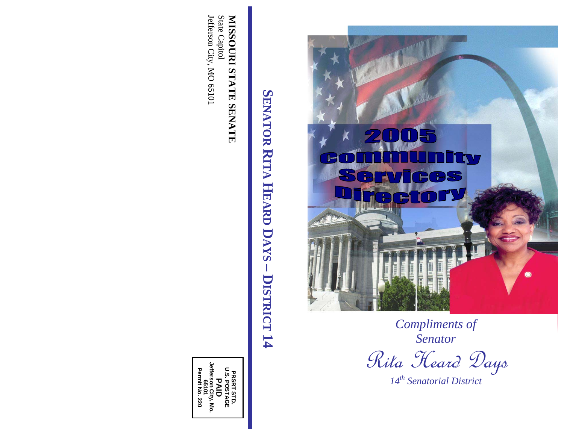

*Compliments of Senator* 

Rita Heard Days

*14th Senatorial District* 

Jefferson City, MO 65101 State Capitol MISSOURI STATE SENATE Jefferson City, MO 65101 State Capitol **MISSOURI STATE SENATE** 

SENATOR RITA HEARD DAYS - DISTRICT 14 **SENATOR RITA HEARD DAYS – DISTRICT 14** 

PRSRT STD. **U.S. POSTAGE PAID 65101 Jefferson City, Mo. Permit No. 220**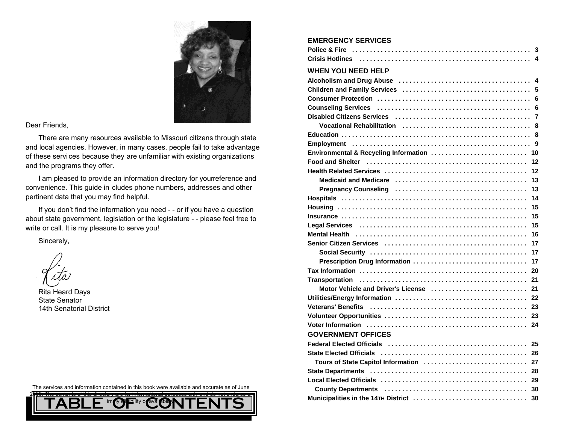

Dear Friends,

There are many resources available to Missouri citizens through state and local agencies. However, in many cases, people fail to take advantage of these services because they are unfamiliar with existing organizations and the programs they offer.

I am pleased to provide an information directory for your eference and convenience. This guide in cludes phone numbers, addresses and other pertinent data that you may find helpful.

If you don't find the information you need - - or if you have a question about state government, legislation or the legislature - - please feel free to write or call. It is my pleasure to serve you!

Sincerely,

Rita Heard Days State Senator14th Senatorial District

The services and information contained in this book were available and accurate as of June



| <b>WHEN YOU NEED HELP</b>                                                                                   |
|-------------------------------------------------------------------------------------------------------------|
|                                                                                                             |
|                                                                                                             |
|                                                                                                             |
|                                                                                                             |
|                                                                                                             |
|                                                                                                             |
|                                                                                                             |
|                                                                                                             |
| Environmental & Recycling Information<br>10                                                                 |
| 12                                                                                                          |
| 12                                                                                                          |
| 13                                                                                                          |
| 13                                                                                                          |
| 14                                                                                                          |
| 15                                                                                                          |
| 15                                                                                                          |
| 15                                                                                                          |
| Mental Health (and according contact and according contact and according metallicity of Mental Health<br>16 |
| 17                                                                                                          |
| 17                                                                                                          |
| Prescription Drug Information<br>17                                                                         |
| 20                                                                                                          |
| 21                                                                                                          |
| Motor Vehicle and Driver's License<br>21                                                                    |
| 22                                                                                                          |
| 23                                                                                                          |
| 23                                                                                                          |
| 24                                                                                                          |
| <b>GOVERNMENT OFFICES</b>                                                                                   |
| Federal Elected Officials (and according to the contract of the contract of the 25                          |
|                                                                                                             |
| Tours of State Capitol Information  27                                                                      |
|                                                                                                             |
|                                                                                                             |
|                                                                                                             |
| 30                                                                                                          |

**EMERGENCY SERVICES**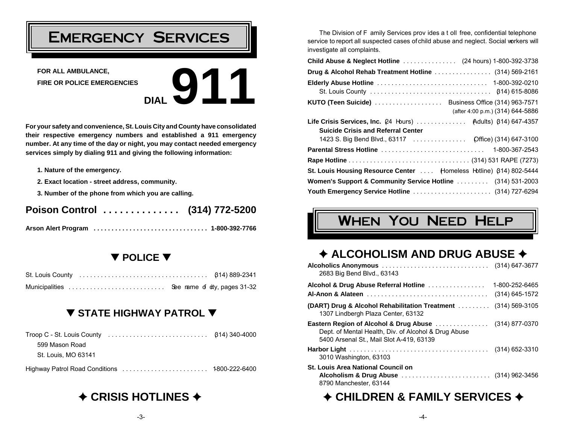## Emergency Services

**FOR ALL AMBULANCE, FIRE OR POLICE EMERGENCIES**



**For your safety and convenience, St. Louis City and County have consolidated their respective emergency numbers and established a 911 emergency number. At any time of the day or night, you may contact needed emergency services simply by dialing 911 and giving the following information:**

- **1. Nature of the emergency.**
- **2. Exact location street address, community.**
- **3. Number of the phone from which you are calling.**

### Poison Control .............. (314) 772-5200

### – **POLICE** –

| Municipalities |  | See rame of oty, pages 31-32 |
|----------------|--|------------------------------|

### – **STATE HIGHWAY PATROL** –

| 599 Mason Road      |  |
|---------------------|--|
| St. Louis, MO 63141 |  |
|                     |  |

### $\triangle$  **CRISIS HOTLINES →**

The Division of F amily Services prov ides a t oll free, confidential telephone service to report all suspected cases of child abuse and neglect. Social workers will investigate all complaints.

| <b>Child Abuse &amp; Neglect Hotline</b> (24 hours) 1-800-392-3738    |                                  |
|-----------------------------------------------------------------------|----------------------------------|
| Drug & Alcohol Rehab Treatment Hotline  (314) 569-2161                |                                  |
|                                                                       |                                  |
| <b>KUTO (Teen Suicide)</b> Business Office (314) 963-7571             | (after 4:00 p.m.) (314) 644-5886 |
| Life Crisis Services, Inc. $(24 + b)$ urs)  (Adults) $(614)$ 647-4357 |                                  |
| <b>Suicide Crisis and Referral Center</b>                             |                                  |
| 1423 S. Big Bend Blvd., 63117  Office) (314) 647-3100                 |                                  |
|                                                                       |                                  |
|                                                                       |                                  |
| St. Louis Housing Resource Center  Homeless Hotline) (314) 802-5444   |                                  |
| Women's Support & Community Service Hotline  (314) 531-2003           |                                  |
| Youth Emergency Service Hotline  (314) 727-6294                       |                                  |

## When You Need Help

### $\triangle$  **ALCOHOLISM AND DRUG ABUSE →**

| 2683 Big Bend Blvd., 63143                                                                                                                                           |                    |
|----------------------------------------------------------------------------------------------------------------------------------------------------------------------|--------------------|
| Alcohol & Drug Abuse Referral Hotline                                                                                                                                | 1-800-252-6465     |
|                                                                                                                                                                      | (314) 645-1572     |
| <b>(DART)</b> Drug & Alcohol Rehabilitation Treatment<br>1307 Lindbergh Plaza Center, 63132                                                                          | $(314) 569 - 3105$ |
| <b>Eastern Region of Alcohol &amp; Drug Abuse</b> (314) 877-0370<br>Dept. of Mental Health, Div. of Alcohol & Drug Abuse<br>5400 Arsenal St., Mail Slot A-419, 63139 |                    |
| 3010 Washington, 63103                                                                                                                                               |                    |
| <b>St. Louis Area National Council on</b><br>8790 Manchester, 63144                                                                                                  |                    |

### $\div$  **CHILDREN & FAMILY SERVICES**  $\div$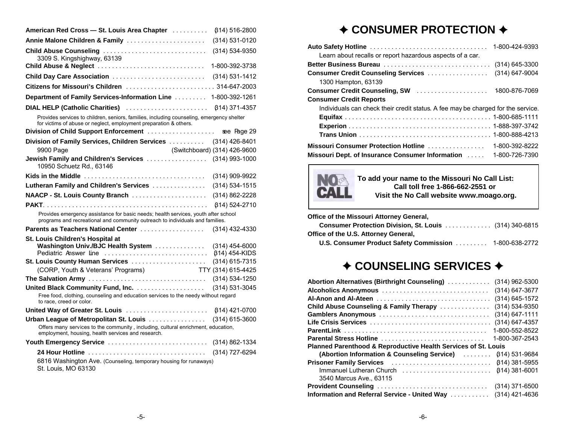| Annie Malone Children & Family<br>(314) 531-0120<br>Child Abuse Counseling<br>$(314) 534 - 9350$<br>3309 S. Kingshighway, 63139<br>Child Abuse & Neglect<br>1-800-392-3738<br>Child Day Care Association<br>$(314) 531 - 1412$ |  |
|--------------------------------------------------------------------------------------------------------------------------------------------------------------------------------------------------------------------------------|--|
|                                                                                                                                                                                                                                |  |
|                                                                                                                                                                                                                                |  |
|                                                                                                                                                                                                                                |  |
|                                                                                                                                                                                                                                |  |
|                                                                                                                                                                                                                                |  |
| Department of Family Services-Information Line<br>1-800-392-1261                                                                                                                                                               |  |
| DIAL HELP (Catholic Charities)<br><b>(314) 371-4357</b>                                                                                                                                                                        |  |
| Provides services to children, seniors, families, including counseling, emergency shelter<br>for victims of abuse or neglect, employment preparation & others.                                                                 |  |
| Division of Child Support Enforcement<br>see Page 29                                                                                                                                                                           |  |
| Division of Family Services, Children Services  (314) 426-8401                                                                                                                                                                 |  |
| (Switchboard) (314) 426-9600<br>9900 Page                                                                                                                                                                                      |  |
| Jewish Family and Children's Services  (314) 993-1000<br>10950 Schuetz Rd., 63146                                                                                                                                              |  |
| (314) 909-9922                                                                                                                                                                                                                 |  |
| Lutheran Family and Children's Services<br>$(314) 534 - 1515$                                                                                                                                                                  |  |
| NAACP - St. Louis County Branch<br>(314) 862-2228                                                                                                                                                                              |  |
| <b>β14) 524-2710</b>                                                                                                                                                                                                           |  |
| Provides emergency assistance for basic needs; health services, youth after school<br>programs and recreational and community outreach to individuals and families.                                                            |  |
| Parents as Teachers National Center<br>(314) 432-4330                                                                                                                                                                          |  |
| <b>St. Louis Children's Hospital at</b><br>Washington Univ./BJC Health System<br>$(314)$ 454-6000<br>Pediatric Answer line<br>β14) 454-KIDS                                                                                    |  |
| St. Louis County Human Services<br>$(314)$ 615-7315                                                                                                                                                                            |  |
| (CORP, Youth & Veterans' Programs)<br>TTY (314) 615-4425                                                                                                                                                                       |  |
| $(314) 534 - 1250$                                                                                                                                                                                                             |  |
| $(314) 531 - 3045$<br>Free food, clothing, counseling and education services to the needy without regard<br>to race, creed or color.                                                                                           |  |
| United Way of Greater St. Louis<br>614) 421-0700                                                                                                                                                                               |  |
| Urban League of Metropolitan St. Louis<br>(314) 615-3600                                                                                                                                                                       |  |
| Offers many services to the community, including, cultural enrichment, education,<br>employment, housing, health services and research.                                                                                        |  |
| Youth Emergency Service<br>(314) 862-1334                                                                                                                                                                                      |  |
| 24 Hour Hotline<br>(314) 727-6294<br>6816 Washington Ave. (Counseling, temporary housing for runaways)<br>St. Louis, MO 63130                                                                                                  |  |

### ◆ CONSUMER PROTECTION **◆**

| Learn about recalls or report hazardous aspects of a car.                                       | 1-800-424-9393                         |
|-------------------------------------------------------------------------------------------------|----------------------------------------|
| Better Business Bureau<br><b>Consumer Credit Counseling Services </b>                           | $(314)$ 645-3300<br>$(314) 647 - 9004$ |
| 1300 Hampton, 63139<br>Consumer Credit Counseling, SW                                           | 1800-876-7069                          |
| <b>Consumer Credit Reports</b>                                                                  |                                        |
| Individuals can check their credit status. A fee may be charged for the service.                |                                        |
| <b>Missouri Consumer Protection Hotline</b><br>Missouri Dept. of Insurance Consumer Information | 1-800-392-8222<br>1-800-726-7390       |



**To add your name to the Missouri No Call List: Call toll free 1-866-662-2551 or Visit the No Call website www.moago.org.**

| Consumer Protection Division, St. Louis (314) 340-6815        |
|---------------------------------------------------------------|
|                                                               |
| <b>U.S. Consumer Product Safety Commission</b> 1-800-638-2772 |
|                                                               |

### ◆ COUNSELING SERVICES **◆**

| <b>Abortion Alternatives (Birthright Counseling)</b><br>(314) 962-5300  |  |  |  |
|-------------------------------------------------------------------------|--|--|--|
| (314) 647-3677<br>Alcoholics Anonymous                                  |  |  |  |
| $(314)$ 645-1572<br><b>Al-Anon and Al-Ateen</b>                         |  |  |  |
| (314) 534-9350<br>Child Abuse Counseling & Family Therapy               |  |  |  |
| $(314) 647 - 1111$<br>Gamblers Anonymous                                |  |  |  |
| (314) 647-4357                                                          |  |  |  |
| 1-800-552-8522                                                          |  |  |  |
| 1-800-367-2543<br>Parental Stress Hotline                               |  |  |  |
| Planned Parenthood & Reproductive Health Services of St. Louis          |  |  |  |
| <b>(Abortion Information &amp; Counseling Service)</b><br>614) 531-9684 |  |  |  |
| Prisoner Family Services<br>B14) 381-5955                               |  |  |  |
| 614) 381-6001<br>Immanuel Lutheran Church                               |  |  |  |
| 3540 Marcus Ave., 63115                                                 |  |  |  |
| $(314)$ 371-6500<br>Provident Counseling                                |  |  |  |
| $(314)$ 421-4636<br>Information and Referral Service - United Way       |  |  |  |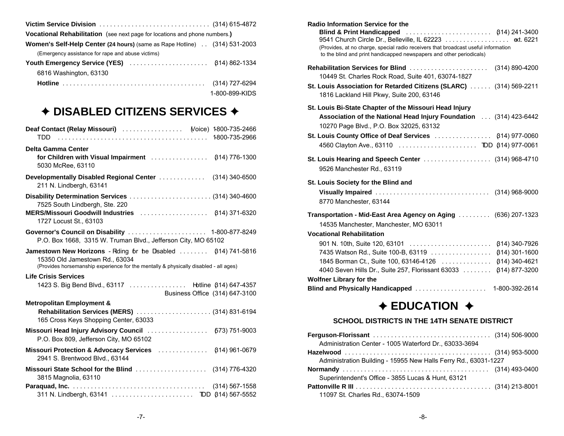| <b>Vocational Rehabilitation</b> (see next page for locations and phone numbers.) |                |
|-----------------------------------------------------------------------------------|----------------|
| <b>Women's Self-Help Center (24 hours) (same as Rape Hotline) (314) 531-2003</b>  |                |
| (Emergency assistance for rape and abuse victims)                                 |                |
| <b>Youth Emergency Service (YES)</b> (814) 862-1334                               |                |
| 6816 Washington, 63130                                                            |                |
|                                                                                   |                |
|                                                                                   | 1-800-899-KIDS |

### ◆ DISABLED CITIZENS SERVICES **◆**

| <b>Deaf Contact (Relay Missouri)</b> (Voice) 1800-735-2466<br>TDD                                                                                                                        |                                      |
|------------------------------------------------------------------------------------------------------------------------------------------------------------------------------------------|--------------------------------------|
| Delta Gamma Center<br>5030 McRee, 63110                                                                                                                                                  |                                      |
| Developmentally Disabled Regional Center<br>211 N. Lindbergh, 63141                                                                                                                      | $(314)$ 340-6500                     |
| 7525 South Lindbergh, Ste. 220                                                                                                                                                           |                                      |
| 1727 Locust St., 63103<br>P.O. Box 1668, 3315 W. Truman Blvd., Jefferson City, MO 65102                                                                                                  |                                      |
| Jamestown New Horizons - Rding for the Dsabled  (314) 741-5816<br>15350 Old Jamestown Rd., 63034<br>(Provides horsemanship experience for the mentally & physically disabled - all ages) |                                      |
| <b>Life Crisis Services</b><br>1423 S. Big Bend Blvd., 63117 Hotline β14) 647-4357<br>Business Office (314) 647-3100                                                                     |                                      |
| <b>Metropolitan Employment &amp;</b><br><b>Rehabilitation Services (MERS)</b> (314) 831-6194<br>165 Cross Keys Shopping Center, 63033                                                    |                                      |
| Missouri Head Injury Advisory Council  [573] 751-9003<br>P.O. Box 809, Jefferson City, MO 65102                                                                                          |                                      |
| Missouri Protection & Advocacy Services  (314) 961-0679                                                                                                                                  |                                      |
| 2941 S. Brentwood Blvd., 63144                                                                                                                                                           |                                      |
| Missouri State School for the Blind<br>3815 Magnolia, 63110                                                                                                                              | (314) 776-4320<br>$(314) 567 - 1558$ |

| <b>Radio Information Service for the</b><br><b>Blind &amp; Print Handicapped</b><br>(Provides, at no charge, special radio receivers that broadcast useful information<br>to the blind and print handicapped newspapers and other periodicals)                                      |  |
|-------------------------------------------------------------------------------------------------------------------------------------------------------------------------------------------------------------------------------------------------------------------------------------|--|
| Rehabilitation Services for Blind  (314) 890-4200<br>10449 St. Charles Rock Road, Suite 401, 63074-1827                                                                                                                                                                             |  |
| St. Louis Association for Retarded Citizens (SLARC)  (314) 569-2211<br>1816 Lackland Hill Pkwy, Suite 200, 63146                                                                                                                                                                    |  |
| St. Louis Bi-State Chapter of the Missouri Head Injury<br>Association of the National Head Injury Foundation  (314) 423-6442<br>10270 Page Blvd., P.O. Box 32025, 63132<br>St. Louis County Office of Deaf Services  (314) 977-0060<br>4560 Clayton Ave., 63110  TDD (314) 977-0061 |  |
| St. Louis Hearing and Speech Center  (314) 968-4710<br>9526 Manchester Rd., 63119                                                                                                                                                                                                   |  |
| St. Louis Society for the Blind and                                                                                                                                                                                                                                                 |  |
| 8770 Manchester, 63144                                                                                                                                                                                                                                                              |  |
| Transportation - Mid-East Area Agency on Aging  (636) 207-1323<br>14535 Manchester, Manchester, MO 63011<br><b>Vocational Rehabilitation</b>                                                                                                                                        |  |
| 901 N. 10th, Suite 120, 63101<br><b>β14) 340-7926</b>                                                                                                                                                                                                                               |  |
| 7435 Watson Rd., Suite 100-B, 63119<br>$(314)$ 301-1600                                                                                                                                                                                                                             |  |
| 1845 Borman Ct., Suite 100, 63146-4126<br>$(314)$ 340-4621                                                                                                                                                                                                                          |  |
| 4040 Seven Hills Dr., Suite 257, Florissant 63033<br><b>(314) 877-3200</b>                                                                                                                                                                                                          |  |
| <b>Wolfner Library for the</b>                                                                                                                                                                                                                                                      |  |
|                                                                                                                                                                                                                                                                                     |  |
| $\div$ EDUCATION $\div$                                                                                                                                                                                                                                                             |  |
| <b>SCHOOL DISTRICTS IN THE 14TH SENATE DISTRICT</b>                                                                                                                                                                                                                                 |  |
| Administration Center - 1005 Waterford Dr., 63033-3694                                                                                                                                                                                                                              |  |

**Hazelwood** . . . . . . . . . . . . . . . . . . . . . . . . . . . . . . . . . . . . . . . . . (314) 953-5000

**Normandy** . . . . . . . . . . . . . . . . . . . . . . . . . . . . . . . . . . . . . . . . . (314) 493-0400

**Pattonville R III** ...................................... (314) 213-8001

Administration Building - 15955 New Halls Ferry Rd., 63031-1227

Superintendent's Office - 3855 Lucas & Hunt, 63121

11097 St. Charles Rd., 63074-1509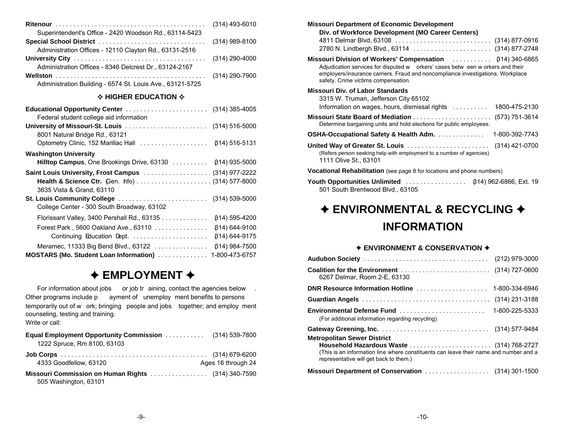| Superintendent's Office - 2420 Woodson Rd., 63114-5423    |  |
|-----------------------------------------------------------|--|
|                                                           |  |
| Administration Offices - 12110 Clayton Rd., 63131-2516    |  |
|                                                           |  |
| Administration Offices - 8346 Delcrest Dr., 63124-2167    |  |
|                                                           |  |
| Administration Building - 6574 St. Louis Ave., 63121-5725 |  |

#### $\Diamond$  HIGHER EDUCATION  $\Diamond$

| Federal student college aid information              |                    |
|------------------------------------------------------|--------------------|
|                                                      |                    |
| 8001 Natural Bridge Rd., 63121                       |                    |
| Optometry Clinic, 152 Marillac Hall                  | 614) 516-5131      |
| <b>Washington University</b>                         |                    |
|                                                      |                    |
| Saint Louis University, Frost Campus  (314) 977-2222 |                    |
|                                                      |                    |
| 3635 Vista & Grand, 63110                            |                    |
|                                                      |                    |
| College Center - 300 South Broadway, 63102           |                    |
| Florissant Valley, 3400 Pershall Rd., 63135          | (314) 595-4200     |
| Forest Park, 5600 Oakland Ave., 63110                | $(314) 644 - 9100$ |
|                                                      | 614) 644-9175      |
| Meramec, 11333 Big Bend Blvd., $63122$               | $(314)$ 984-7500   |
| MOSTARS (Mo. Student Loan Information)               | 1-800-473-6757     |

### $\triangle$  **EMPLOYMENT ♦**

For information about jobs or job tr aining, contact the agencies below. Other programs include p ayment of unemploy ment benefits to persons temporarily out of w ork; bringing people and jobs together; and employ ment counseling, testing and training. Write or call:

| <b>Equal Employment Opportunity Commission</b> (314) 539-7800<br>1222 Spruce, Rm 8100, 63103 |                    |
|----------------------------------------------------------------------------------------------|--------------------|
| 4333 Goodfellow, 63120                                                                       | Ages 16 through 24 |
| 505 Washington, 63101                                                                        |                    |

| <b>Missouri Department of Economic Development</b><br>Div. of Workforce Development (MO Career Centers)                                                                                                                                                                      |
|------------------------------------------------------------------------------------------------------------------------------------------------------------------------------------------------------------------------------------------------------------------------------|
| 2780 N. Lindbergh Blvd., 63114  (314) 877-2748                                                                                                                                                                                                                               |
| <b>Missouri Division of Workers' Compensation</b> (814) 340-6865<br>Adjudication services for disputed w orkers' cases betw een w orkers and their<br>employers/insurance carriers. Fraud and noncompliance investigations. Workplace<br>safety. Crime victims compensation. |
| <b>Missouri Div. of Labor Standards</b>                                                                                                                                                                                                                                      |
| 3315 W. Truman, Jefferson City 65102<br>Information on wages, hours, dismissal rights $\ldots \ldots \ldots$<br>1800-475-2130                                                                                                                                                |
| Determine bargaining units and hold elections for public employees.                                                                                                                                                                                                          |
| <b>OSHA-Occupational Safety &amp; Health Adm.</b><br>1-800-392-7743                                                                                                                                                                                                          |
| United Way of Greater St. Louis<br>(314) 421-0700<br>(Refers person seeking help with employment to a number of agencies)<br>1111 Olive St., 63101                                                                                                                           |
| Vocational Rehabilitation (see page 8 for locations and phone numbers)                                                                                                                                                                                                       |
| <b>Youth Opportunities Unlimited</b> (814) 962-6866, Ext. 19<br>501 South Brentwood Blvd., 63105                                                                                                                                                                             |

## $\rightarrow$  **ENVIRONMENTAL & RECYCLING**  $\rightarrow$ **INFORMATION**

#### $\rightarrow$  **ENVIRONMENT & CONSERVATION**  $\rightarrow$

| 6267 Delmar, Room 2-E, 63130                                                                                                    |                |
|---------------------------------------------------------------------------------------------------------------------------------|----------------|
|                                                                                                                                 |                |
|                                                                                                                                 |                |
| <b>Environmental Defense Fund</b><br>(For additional information regarding recycling)                                           | 1-800-225-5333 |
| <b>Metropolitan Sewer District</b>                                                                                              |                |
| (This is an information line where constituents can leave their name and number and a<br>representative will get back to them.) |                |
| Missouri Department of Conservation  (314) 301-1500                                                                             |                |
|                                                                                                                                 |                |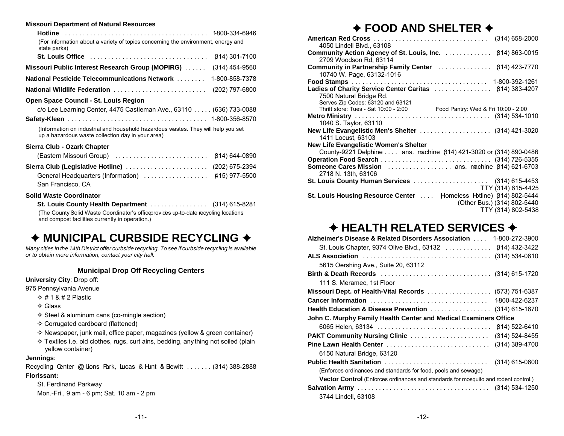#### **Missouri Department of Natural Resources**

| (For information about a variety of topics concerning the environment, energy and<br>state parks)                                      |                      |
|----------------------------------------------------------------------------------------------------------------------------------------|----------------------|
|                                                                                                                                        | <b>814) 301-7100</b> |
| Missouri Public Interest Research Group (MOPIRG)                                                                                       | $(314)$ 454-9560     |
| <b>National Pesticide Telecommunications Network </b>                                                                                  | 1-800-858-7378       |
| <b>National Wildlife Federation</b>                                                                                                    | (202) 797-6800       |
| Open Space Council - St. Louis Region                                                                                                  |                      |
| c/o Lee Learning Center, 4475 Castleman Ave., 63110 (636) 733-0088                                                                     |                      |
|                                                                                                                                        |                      |
| (Information on industrial and household hazardous wastes. They will help you set<br>up a hazardous waste collection day in your area) |                      |
| Sierra Club - Ozark Chapter                                                                                                            |                      |
| (Eastern Missouri Group)                                                                                                               | β14) 644-0890        |
| Sierra Club (Legislative Hotline)                                                                                                      | (202) 675-2394       |
| General Headquarters (Information)<br>San Francisco. CA                                                                                | (415) 977-5500       |

#### **Solid Waste Coordinator**

**St. Louis County Health Department** . . . . . . . . . . . . . . . . (314) 615-8281 (The County Solid Waste Coordinator's office provides up-to-date recycling locations and compost facilities currently in operation.)

### ◆ MUNICIPAL CURBSIDE RECYCLING **◆**

*Many cities in the 14th District offer curbside recycling. To see if curbside recycling is available or to obtain more information, contact your city hall.*

#### **Municipal Drop Off Recycling Centers**

**University City**: Drop off:

- 975 Pennsylvania Avenue
	- $\diamond$  # 1 & # 2 Plastic
	- $\Leftrightarrow$  Glass
	- $\Diamond$  Steel & aluminum cans (co-mingle section)
	- $\Diamond$  Corrugated cardboard (flattened)
	- $\Diamond$  Newspaper, junk mail, office paper, magazines (yellow & green container)
	- $\Diamond$  Textiles i.e. old clothes, rugs, curt ains, bedding, anything not soiled (plain yellow container)

#### **Jennings**:

Recycling Center @ Lions Park, Lucas & Hunt & Bewitt . . . . . . . (314) 388-2888 **Florissant:**

St. Ferdinand Parkway Mon.-Fri., 9 am - 6 pm; Sat. 10 am - 2 pm

### ◆ FOOD AND SHELTER **◆**

| 4050 Lindell Blvd., 63108                                                 | $(314)$ 658-2000            |
|---------------------------------------------------------------------------|-----------------------------|
| 2709 Woodson Rd, 63114                                                    |                             |
| <b>Community in Partnership Family Center</b>                             | (314) 423-7770              |
| 10740 W. Page, 63132-1016                                                 |                             |
|                                                                           |                             |
| Ladies of Charity Service Center Caritas                                  | <b>(314) 383-4207</b>       |
| 7500 Natural Bridge Rd.                                                   |                             |
| Serves Zip Codes: 63120 and 63121                                         |                             |
| Thrift store: Tues - Sat 10:00 - 2:00 Food Pantry: Wed & Fri 10:00 - 2:00 |                             |
|                                                                           |                             |
| 1040 S. Taylor, 63110                                                     |                             |
|                                                                           |                             |
| 1411 Locust, 63103                                                        |                             |
| <b>New Life Evangelistic Women's Shelter</b>                              |                             |
| County-9221 Delphine ans. machine (314) 421-3020 or (314) 890-0486        |                             |
|                                                                           |                             |
| <b>Someone Cares Mission</b> ans. machine (314) 621-6703                  |                             |
| 2718 N. 13th. 63106                                                       |                             |
| <b>St. Louis County Human Services</b> (314) 615-4453                     |                             |
|                                                                           | TTY (314) 615-4425          |
| St. Louis Housing Resource Center  Homeless Hotline) (314) 802-5444       |                             |
|                                                                           | (Other Bus.) (314) 802-5440 |
|                                                                           | TTY (314) 802-5438          |
|                                                                           |                             |

### ◆ HEALTH RELATED SERVICES **◆**

| Alzheimer's Disease & Related Disorders Association  1-800-272-3900                        |                       |
|--------------------------------------------------------------------------------------------|-----------------------|
| St. Louis Chapter, 9374 Olive Blvd., 63132                                                 | <b>(314) 432-3422</b> |
|                                                                                            | $(314) 534 - 0610$    |
| 5615 Oershing Ave., Suite 20, 63112                                                        |                       |
|                                                                                            |                       |
| 111 S. Meramec, 1st Floor                                                                  |                       |
| <b>Missouri Dept. of Health-Vital Records</b> (573) 751-6387                               |                       |
|                                                                                            | 1800-422-6237         |
| Health Education & Disease Prevention (314) 615-1670                                       |                       |
| John C. Murphy Family Health Center and Medical Examiners Office                           |                       |
|                                                                                            | 614) 522-6410         |
| <b>PAKT Community Nursing Clinic </b>                                                      | (314) 524-8455        |
| Pine Lawn Health Center                                                                    | (314) 389-4700        |
| 6150 Natural Bridge, 63120                                                                 |                       |
| Public Health Sanitation                                                                   | $(314)$ 615-0600      |
| (Enforces ordinances and standards for food, pools and sewage)                             |                       |
| <b>Vector Control</b> (Enforces ordinances and standards for mosquito and rodent control.) |                       |
|                                                                                            |                       |
| 3744 Lindell, 63108                                                                        |                       |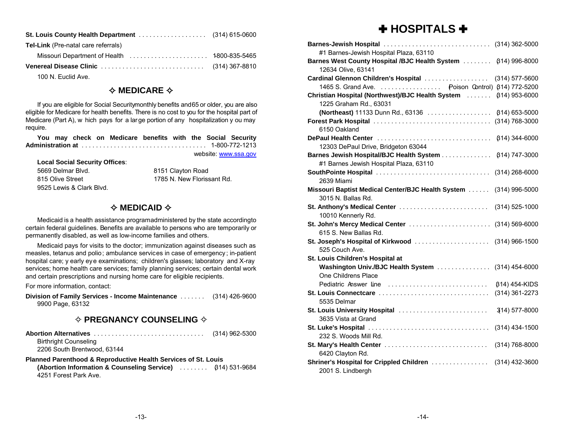| <b>St. Louis County Health Department</b> (314) 615-0600 |  |
|----------------------------------------------------------|--|
| <b>Tel-Link</b> (Pre-natal care referrals)               |  |
|                                                          |  |
|                                                          |  |

100 N. Euclid Ave.

### **✧ MEDICARE**  $\diamond$

If you are eligible for Social Security monthly benefits and 65 or older, you are also eligible for Medicare for health benefits. There is no cost to you for the hospital part of Medicare (Part A), w hich pays for a large portion of any hospitalization y ou may require.

**You may check on Medicare benefits with the Social Security Administration at** . . . . . . . . . . . . . . . . . . . . . . . . . . . . . . . . . . . 1-800-772-1213

website: [www.ssa.gov](http://www.ssa.gov)

| <b>Local Social Security Offices:</b> |                            |
|---------------------------------------|----------------------------|
| 5669 Delmar Blvd.                     | 8151 Clayton Road          |
| 815 Olive Street                      | 1785 N. New Florissant Rd. |
| 9525 Lewis & Clark Blvd.              |                            |

### **✧ MEDICAID �**

Medicaid is a health assistance programadministered by the state according to certain federal guidelines. Benefits are available to persons who are temporarily or permanently disabled, as well as low-income families and others.

Medicaid pays for visits to the doctor; immunization against diseases such as measles, tetanus and polio; ambulance services in case of emergency; in-patient hospital care; y early eye examinations; children's glasses; laboratory and X-ray services; home health care services; family planning services; certain dental work and certain prescriptions and nursing home care for eligible recipients.

For more information, contact:

**Division of Family Services - Income Maintenance** . . . . . . . (314) 426-9600 9900 Page, 63132

#### $\diamond$  PREGNANCY COUNSELING  $\diamond$

**Abortion Alternatives** . . . . . . . . . . . . . . . . . . . . . . . . . . . . . . . (314) 962-5300 Birthright Counseling

2206 South Brentwood, 63144

#### **Planned Parenthood & Reproductive Health Services of St. Louis (Abortion Information & Counseling Service)** ........ (314) 531-9684 4251 Forest Park Ave.

### [ **HOSPITALS**  [

| Barnes-Jewish Hospital  (314) 362-5000                        |                       |
|---------------------------------------------------------------|-----------------------|
| #1 Barnes-Jewish Hospital Plaza, 63110                        |                       |
| Barnes West County Hospital /BJC Health System                | $(314)$ 996-8000      |
| 12634 Olive, 63141                                            |                       |
| Cardinal Glennon Children's Hospital                          | (314) 577-5600        |
| 1465 S. Grand Ave. Poison Control) (314) 772-5200             |                       |
| Christian Hospital (Northwest)/BJC Health System              | <b>(314) 953-6000</b> |
| 1225 Graham Rd., 63031                                        |                       |
| (Northeast) 11133 Dunn Rd., 63136                             | $(314) 653 - 5000$    |
|                                                               | (314) 768-3000        |
| 6150 Oakland                                                  |                       |
| DePaul Health Center                                          | <b>β14) 344-6000</b>  |
| 12303 DePaul Drive, Bridgeton 63044                           |                       |
| Barnes Jewish Hospital/BJC Health System                      | <b>(314) 747-3000</b> |
| #1 Barnes Jewish Hospital Plaza, 63110                        |                       |
| SouthPointe Hospital                                          | $(314)$ 268-6000      |
| 2639 Miami                                                    |                       |
| Missouri Baptist Medical Center/BJC Health System             | $(314)$ 996-5000      |
| 3015 N. Ballas Rd.                                            |                       |
| St. Anthony's Medical Center                                  | $(314)$ 525-1000      |
| 10010 Kennerly Rd.                                            |                       |
| St. John's Mercy Medical Center  (314) 569-6000               |                       |
| 615 S. New Ballas Rd.                                         |                       |
| St. Joseph's Hospital of Kirkwood  (314) 966-1500             |                       |
| 525 Couch Ave.                                                |                       |
| St. Louis Children's Hospital at                              |                       |
| Washington Univ./BJC Health System                            | $(314)$ 454-6000      |
| One Childrens Place                                           |                       |
| Pediatric Answer line                                         | β14) 454-KIDS         |
| St. Louis Connectcare                                         | (314) 361-2273        |
| 5535 Delmar                                                   |                       |
| St. Louis University Hospital                                 | 314) 577-8000         |
| 3635 Vista at Grand                                           |                       |
| 232 S. Woods Mill Rd.                                         | $(314)$ 434-1500      |
|                                                               |                       |
| St. Mary's Health Center                                      | (314) 768-8000        |
| 6420 Clayton Rd.                                              |                       |
| Shriner's Hospital for Crippled Children<br>2001 S. Lindbergh | $(314)$ 432-3600      |
|                                                               |                       |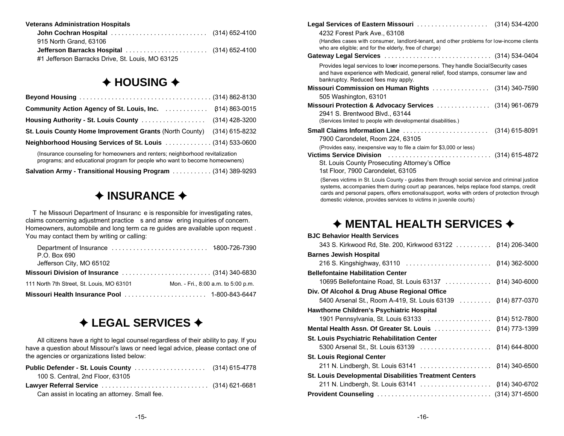#### **Veterans Administration Hospitals**

| 915 North Grand, 63106                           |  |
|--------------------------------------------------|--|
| Jefferson Barracks Hospital  (314) 652-4100      |  |
| #1 Jefferson Barracks Drive, St. Louis, MO 63125 |  |

### $\triangle$  **HOUSING →**

| Housing Authority - St. Louis County                                                                                                                         | (314) 428-3200 |  |
|--------------------------------------------------------------------------------------------------------------------------------------------------------------|----------------|--|
| St. Louis County Home Improvement Grants (North County) (314) 615-8232                                                                                       |                |  |
| Neighborhood Housing Services of St. Louis (314) 533-0600                                                                                                    |                |  |
| (Insurance counseling for homeowners and renters; neighborhood revitalization<br>programs; and educational program for people who want to become homeowners) |                |  |

**Salvation Army - Transitional Housing Program** ...........(314) 389-9293

### $\triangle$  **INSURANCE**  $\triangle$

 T he Missouri Department of Insuranc e is responsible for investigating rates, claims concerning adjustment practice s and answ ering inquiries of concern. Homeowners, automobile and long term ca re guides are available upon request . You may contact them by writing or calling:

| P.O. Box 690                                   |                                     |
|------------------------------------------------|-------------------------------------|
| Jefferson City, MO 65102                       |                                     |
| Missouri Division of Insurance  (314) 340-6830 |                                     |
| 111 North 7th Street, St. Louis, MO 63101      | Mon. - Fri., 8:00 a.m. to 5:00 p.m. |
|                                                |                                     |

### $\div$  **LEGAL SERVICES**  $\div$

All citizens have a right to legal counsel regardless of their ability to pay. If you have a question about Missouri's laws or need legal advice, please contact one of the agencies or organizations listed below:

| 100 S. Central, 2nd Floor, 63105 |  |
|----------------------------------|--|
|                                  |  |
|                                  |  |

| Legal Services of Eastern Missouri  (314) 534-4200                                                                                                                                                            |                |
|---------------------------------------------------------------------------------------------------------------------------------------------------------------------------------------------------------------|----------------|
| 4232 Forest Park Ave., 63108                                                                                                                                                                                  |                |
| (Handles cases with consumer, landlord-tenant, and other problems for low-income clients<br>who are eligible; and for the elderly, free of charge)                                                            |                |
| Gateway Legal Services  (314) 534-0404                                                                                                                                                                        |                |
| Provides legal services to lower income persons. They handle Social Security cases<br>and have experience with Medicaid, general relief, food stamps, consumer law and<br>bankruptcy. Reduced fees may apply. |                |
| Missouri Commission on Human Rights (314) 340-7590                                                                                                                                                            |                |
| 505 Washington, 63101                                                                                                                                                                                         |                |
| Missouri Protection & Advocacy Services  (314) 961-0679<br>2941 S. Brentwood Blvd., 63144<br>(Services limited to people with developmental disabilities.)                                                    |                |
| <b>Small Claims Information Line</b>                                                                                                                                                                          | (314) 615-8091 |
| 7900 Carondelet, Room 224, 63105                                                                                                                                                                              |                |
| (Provides easy, inexpensive way to file a claim for \$3,000 or less)                                                                                                                                          |                |
| <b>Victims Service Division</b>                                                                                                                                                                               |                |
| St. Louis County Prosecuting Attorney's Office<br>1st Floor, 7900 Carondelet, 63105                                                                                                                           |                |
| (Serves victims in St. Louis County - guides them through social service and criminal justice<br>systems, accompanies them during court an pearances, helps replace food stamps, credit                       |                |

lies them during court ap pearances, helps replace food cards and personal papers, offers emotional support, works with orders of protection through domestic violence, provides services to victims in juvenile courts)

#### $\triangle$  **MENTAL HEALTH SERVICES → BJC Behavior Health Services**

| <b>BJC Behavior Health Services</b>                           |               |
|---------------------------------------------------------------|---------------|
| 343 S. Kirkwood Rd, Ste. 200, Kirkwood 63122 814) 206-3400    |               |
| <b>Barnes Jewish Hospital</b>                                 |               |
|                                                               |               |
| <b>Bellefontaine Habilitation Center</b>                      |               |
| 10695 Bellefontaine Road, St. Louis 63137 814) 340-6000       |               |
| Div. Of Alcohol & Drug Abuse Regional Office                  |               |
| 5400 Arsenal St., Room A-419, St. Louis 63139  (614) 877-0370 |               |
| <b>Hawthorne Children's Psychiatric Hospital</b>              |               |
| 1901 Pennsylvania, St. Louis 63133  (814) 512-7800            |               |
| Mental Health Assn. Of Greater St. Louis  (814) 773-1399      |               |
| <b>St. Louis Psychiatric Rehabilitation Center</b>            |               |
|                                                               |               |
| <b>St. Louis Regional Center</b>                              |               |
| 211 N. Lindbergh, St. Louis 63141                             | 614) 340-6500 |
| <b>St. Louis Developmental Disabilities Treatment Centers</b> |               |
| 211 N. Lindbergh, St. Louis 63141  814) 340-6702              |               |
|                                                               |               |
|                                                               |               |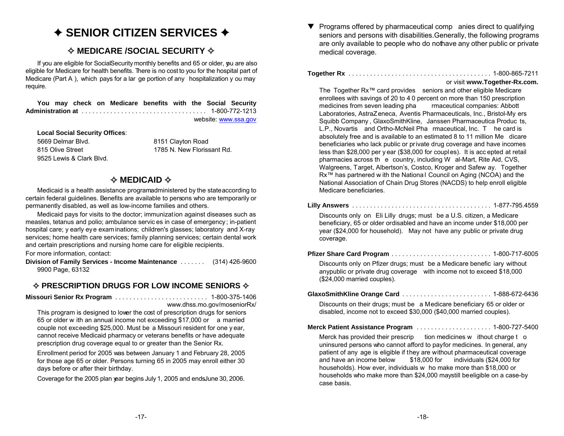### ◆ SENIOR CITIZEN SERVICES **◆**

### $\diamond$  MEDICARE /SOCIAL SECURITY  $\diamond$

If you are eligible for Social Security monthly benefits and 65 or older, you are also eligible for Medicare for health benefits. There is no cost to you for the hospital part of Medicare (Part A ), which pays for a lar ge portion of any hospitalization y ou may require.

**You may check on Medicare benefits with the Social Security Administration at** . . . . . . . . . . . . . . . . . . . . . . . . . . . . . . . . . . . 1-800-772-1213 website: [www.ssa.gov](http://www.ssa.gov)

**Local Social Security Offices**:

5669 Delmar Blvd.815 Olive Street9525 Lewis & Clark Blvd.

 8151 Clayton Road 1785 N. New Florissant Rd.

### **✧ MEDICAID �**

Medicaid is a health assistance programadministered by the state according to certain federal guidelines. Benefits are available to persons who are temporarily or permanently disabled, as well as low-income families and others.

Medicaid pays for visits to the doctor; immunization against diseases such as measles, tetanus and polio; ambulance servic es in case of emergency; in-patient hospital care; y early eye examinations; children's glasses; laboratory and X-ray services; home health care services; family planning services; certain dental work and certain prescriptions and nursing home care for eligible recipients.

For more information, contact:

**Division of Family Services - Income Maintenance** . . . . . . . (314) 426-9600 9900 Page, 63132

### $\diamond$  PRESCRIPTION DRUGS FOR LOW INCOME SENIORS  $\diamond$

**Missouri Senior Rx Program** . . . . . . . . . . . . . . . . . . . . . . . . . . 1-800-375-1406

www.dhss.mo.gov/moseniorRx/

This program is designed to lower the cost of prescription drugs for seniors 65 or older w ith an annual income not exceeding \$17,000 or a married couple not exceeding \$25,000. Must be a Missouri resident for one y ear, cannot receive Medicaid pharmacy or veterans benefits or have adequate prescription drug coverage equal to or greater than the Senior Rx.

Enrollment period for 2005 was between January 1 and February 28, 2005 for those age 65 or older. Persons turning 65 in 2005 may enroll either 30 days before or after their birthday.

Coverage for the 2005 plan year begins July 1, 2005 and ends June 30, 2006.

 $\blacktriangledown$  Programs offered by pharmaceutical comp anies direct to qualifying seniors and persons with disabilities. Generally, the following programs are only available to people who do nothave any other public or private medical coverage.

**Together Rx** . . . . . . . . . . . . . . . . . . . . . . . . . . . . . . . . . . . . . . . . 1-800-865-7211

#### or visit **www.Together-Rx.com.**

The Together Rx™ card provides seniors and other eligible Medicare enrollees with savings of 20 to 4 0 percent on more than 150 prescription<br>medicines from seven leading pha maceutical companies: Abbott medicines from seven leading pha Laboratories, AstraZeneca, Aventis Pharmaceuticals, Inc., Bristol-My ers Squibb Company , GlaxoSmithKline, Janssen Pharmaceutica Produc ts, L.P., Novartis and Ortho-McNeil Pha rmaceutical, Inc. T he card is absolutely free and is available to an estimated 8 to 11 million Me dicare beneficiaries who lack public or private drug coverage and have incomes less than \$28,000 per y ear (\$38,000 for couples). It is acc epted at retail pharmacies across th e country, including W al-Mart, Rite Aid, CVS, Walgreens, Target, Albertson's, Costco, Kroger and Safew ay. Together Rx<sup>™</sup> has partnered w ith the Nationa I Council on Aging (NCOA) and the National Association of Chain Drug Stores (NACDS) to help enroll eligible Medicare beneficiaries.

**Lilly Answers** . . . . . . . . . . . . . . . . . . . . . . . . . . . . . . . . . . . . . . . 1-877-795.4559

Discounts only on Eli Lilly drugs; must be a U.S. citizen, a Medicare beneficiary, 65 or older or disabled and have an income under \$18,000 per year (\$24,000 for household). May not have any public or private drug coverage.

**Pfizer Share Card Program** . . . . . . . . . . . . . . . . . . . . . . . . . . . . 1-800-717-6005

Discounts only on Pfizer drugs; must be a Medicare benefic iary without anypublic or private drug coverage with income not to exceed \$18,000 (\$24,000 married couples).

**GlaxoSmithKline Orange Card** . . . . . . . . . . . . . . . . . . . . . . . . . 1-888-672-6436

Discounts on their drugs; must be a Medicare beneficiary 65 or older or disabled, income not to exceed \$30,000 (\$40,000 married couples).

**Merck Patient Assistance Program** . . . . . . . . . . . . . . . . . . . . . 1-800-727-5400

Merck has provided their prescrip tion medicines w ithout charge t o uninsured persons who cannot afford to pay for medicines. In general, any patient of any age is eligible if they are without pharmaceutical coverage and have an income below \$18,000 for individuals (\$24,000 for households). How ever, individuals w ho make more than \$18,000 or households who make more than \$24,000 may still be eligible on a case-by case basis.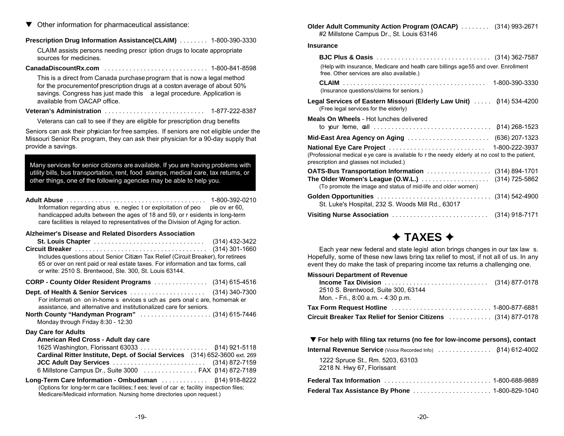$\blacktriangledown$  Other information for pharmaceutical assistance:

#### **Prescription Drug Information Assistance(CLAIM)** . . . . . . . . 1-800-390-3330

CLAIM assists persons needing prescr iption drugs to locate appropriate sources for medicines.

#### **CanadaDiscountRx.com** . . . . . . . . . . . . . . . . . . . . . . . . . . . . . 1-800-841-8598

This is a direct from Canada purchase program that is now a legal method for the procurement of prescription drugs at a coston average of about 50% savings. Congress has just made this a legal procedure. Application is available from OACAP office.

#### **Veteran's Administration** . . . . . . . . . . . . . . . . . . . . . . . . . . . . 1-877-222-8387

Veterans can call to see if they are eligible for prescription drug benefits

Seniors can ask their physician for free samples. If seniors are not eligible under the Missouri Senior Rx program, they can ask their physician for a 90-day supply that provide a savings.

Many services for senior citizens are available. If you are having problems with utility bills, bus transportation, rent, food stamps, medical care, tax returns, or other things, one of the following agencies may be able to help you.

**Adult Abuse** . . . . . . . . . . . . . . . . . . . . . . . . . . . . . . . . . . . . . . . 1-800-392-0210 Information regarding abus e, neglec t or exploitation of peo ple ov er 60, handicapped adults between the ages of 18 and 59, or r esidents in long-term care facilities is relayed to representatives of the Division of Aging for action.

#### **Alzheimer's Disease and Related Disorders Association**

| Includes questions about Senior Citizen Tax Relief (Circuit Breaker), for retirees<br>65 or over on rent paid or real estate taxes. For information and tax forms, call<br>or write: 2510 S. Brentwood, Ste. 300, St. Louis 63144.                  | $(314)$ 301-1660 |
|-----------------------------------------------------------------------------------------------------------------------------------------------------------------------------------------------------------------------------------------------------|------------------|
| CORP - County Older Resident Programs  (314) 615-4516                                                                                                                                                                                               |                  |
| For informati on on in-home s ervices s uch as pers onal c are, homemak er<br>assistance, and alternative and institutionalized care for seniors.<br>North County "Handyman Program"  (314) 615-7446                                                |                  |
| Monday through Friday 8:30 - 12:30                                                                                                                                                                                                                  |                  |
| Day Care for Adults<br>American Red Cross - Adult day care<br>Cardinal Ritter Institute, Dept. of Social Services (314) 652-3600 ext. 269<br>JCC Adult Day Services  (314) 872-7159<br>6 Millstone Campus Dr., Suite 3000  FAX (314) 872-7189       |                  |
| Long-Term Care Information - Ombudsman $\ldots \ldots \ldots$ (314) 918-8222<br>(Options for long-term care facilities; f ees; level of car e; facility inspection files;<br>Medicare/Medicaid information. Nursing home directories upon request.) |                  |

**Older Adult Community Action Program (OACAP)** . . . . . . . . (314) 993-2671 #2 Millstone Campus Dr., St. Louis 63146

#### **Insurance**

| (Help with insurance, Medicare and heath care billings age 55 and over. Enrollment<br>free. Other services are also available.)           |  |
|-------------------------------------------------------------------------------------------------------------------------------------------|--|
| 1-800-390-3330<br>(Insurance questions/claims for seniors.)                                                                               |  |
| (Free legal services for the elderly)                                                                                                     |  |
| <b>Meals On Wheels</b> - Hot lunches delivered                                                                                            |  |
| $(314)$ 268-1523                                                                                                                          |  |
| (636) 207-1323                                                                                                                            |  |
| (Professional medical e ye care is available fo r the needy elderly at no cost to the patient,<br>prescription and glasses not included.) |  |
| OATS-Bus Transportation Information (314) 894-1701<br>(314) 725-5862<br>(To promote the image and status of mid-life and older women)     |  |
| St. Luke's Hospital, 232 S. Woods Mill Rd., 63017                                                                                         |  |
| Visiting Nurse Association  (314) 918-7171                                                                                                |  |

### **→ TAXES →**

Each year new federal and state legisl ation brings changes in our tax law s. Hopefully, some of these new laws bring tax relief to most, if not all of us. In any event they do make the task of preparing income tax returns a challenging one.

#### **Missouri Department of Revenue Income Tax Division** . . . . . . . . . . . . . . . . . . . . . . . . . . . . . (314) 877-0178 2510 S. Brentwood, Suite 300, 63144 Mon. - Fri., 8:00 a.m. - 4:30 p.m. **Tax Form Request Hotline** . . . . . . . . . . . . . . . . . . . . . . . . . . . . 1-800-877-6881 **Circuit Breaker Tax Relief for Senior Citizens** ............ (314) 877-0178

#### – **For help with filing tax returns (no fee for low-income persons), contact**

| <b>Internal Revenue Service</b> (Voice Recorded Info)  (314) 612-4002 |  |  |
|-----------------------------------------------------------------------|--|--|
|-----------------------------------------------------------------------|--|--|

1222 Spruce St., Rm. 5203, 63103 2218 N. Hwy 67, Florissant

| <b>Federal Tax Information ,,,,,,,,,,,,,,,,,,,,,,,,,,,</b> 1-800-688-9889 |  |
|---------------------------------------------------------------------------|--|
|                                                                           |  |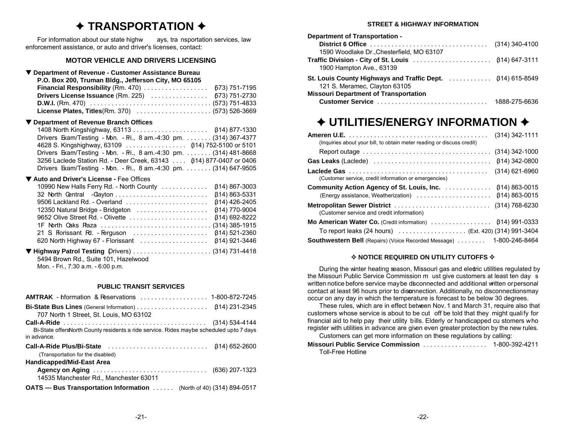### ◆ TRANSPORTATION **◆**

For information about our state highw ays, tra nsportation services, law enforcement assistance, or auto and driver's licenses, contact:

#### **MOTOR VEHICLE AND DRIVERS LICENSING**

#### – **Department of Revenue - Customer Assistance Bureau**

| P.O. Box 200, Truman Bldg., Jefferson City, MO 65105 |                |
|------------------------------------------------------|----------------|
|                                                      | $2701$ $77.05$ |

| <b>Drivers License Issuance</b> (Rm. 225)  673) 751-2730                                                                     |  |
|------------------------------------------------------------------------------------------------------------------------------|--|
| <b>D.W.I.</b> (Rm. 470) $\ldots \ldots \ldots \ldots \ldots \ldots \ldots \ldots \ldots \ldots \ldots \ldots$ (573) 751-4833 |  |
|                                                                                                                              |  |

#### – **Department of Revenue Branch Offices**

| Drivers Exam/Testing - Mon. - Fri., 8 am.-4:30 pm. (314) 367-4377  |  |
|--------------------------------------------------------------------|--|
|                                                                    |  |
| Drivers Exam/Testing - Mon. - Fri., 8 am.-4:30 pm. (314) 481-8668  |  |
| 3256 Laclede Station Rd. - Deer Creek, 63143 614) 877-0407 or 0406 |  |
| Drivers Exam/Testing - Mon. - Fri., 8 am.-4:30 pm. (314) 647-9505  |  |

#### – **Auto and Driver's License -** Fee Offices

| 10990 New Halls Ferry Rd. - North County  (614) 867-3003 |  |
|----------------------------------------------------------|--|
|                                                          |  |
|                                                          |  |
|                                                          |  |
|                                                          |  |
|                                                          |  |
| 21 S Florissant Rd. - Ferguson  (314) 521-2360           |  |
| 620 North Highway 67 - Florissant  (314) 921-3446        |  |

– **Highway Patrol Testing** (Drivers) . . . . . . . . . . . . . . . . . . . . . . (314) 731-4418

5494 Brown Rd., Suite 101, Hazelwood Mon. - Fri., 7:30 a.m. - 6:00 p.m.

#### **PUBLIC TRANSIT SERVICES**

| <b>AMTRAK</b> - hformation & Reservations  1-800-872-7245                               |
|-----------------------------------------------------------------------------------------|
|                                                                                         |
| 707 North 1 Street, St. Louis, MO 63102                                                 |
|                                                                                         |
| Bi-State offersNorth County residents a ride service. Rides maybe scheduled upto 7 days |
| in advance.                                                                             |
|                                                                                         |
| (Transportation for the disabled)                                                       |
| <b>Handicapped/Mid-East Area</b>                                                        |
|                                                                                         |
| 14535 Manchester Rd., Manchester 63011                                                  |
| <b>OATS — Bus Transportation Information</b> (North of 40) (314) 894-0517               |

#### **STREET & HIGHWAY INFORMATION**

| Department of Transportation -               |  |
|----------------------------------------------|--|
|                                              |  |
| 1590 Woodlake Dr., Chesterfield, MO 63107    |  |
| 1900 Hampton Ave., 63139                     |  |
|                                              |  |
| 121 S. Meramec, Clayton 63105                |  |
| <b>Missouri Department of Transportation</b> |  |
|                                              |  |

### **♦ UTILITIES/ENERGY INFORMATION ♦**

| (Inquiries about your bill, to obtain meter reading or discuss credit)   | $(314)$ 342-1111 |
|--------------------------------------------------------------------------|------------------|
|                                                                          |                  |
|                                                                          | 614) 342-0800    |
| (Customer service, credit information or emergencies)                    | (314) 621-6960   |
| Community Action Agency of St. Louis, Inc. 814) 863-0015                 |                  |
|                                                                          | 614) 863-0015    |
| Metropolitan Sewer District<br>(Customer service and credit information) | (314) 768-6230   |
|                                                                          |                  |
| To report leaks (24 hours) (Ext. 420) (314) 991-3404                     |                  |
| <b>Southwestern Bell</b> (Repairs) (Voice Recorded Message)              | 1-800-246-8464   |

#### ♦ NOTICE REQUIRED ON UTILITY CUTOFFS **♦**

During the winter heating season, Missouri gas and electric utilities regulated by the Missouri Public Service Commission m ust give customers at least ten day <sup>s</sup> written notice before service may be disconnected and additional witten or personal contact at least 96 hours prior to disconnection. Additionally, no disconnections may occur on any day in which the temperature is forecast to be below 30 degrees.

These rules, which are in effect between Nov. 1 and March 31, require also that customers whose service is about to be cut off be told that they might qualify for financial aid to help pay their utility bills. Elderly or handicapped cu stomers who register with utilities in advance are given even greater protection by the new rules. Customers can get more information on these regulations by calling:

**Missouri Public Service Commission** . . . . . . . . . . . . . . . . . . 1-800-392-4211 Toll-Free Hotline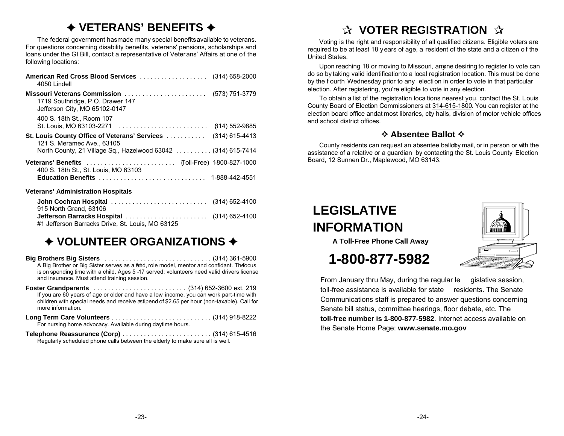### g **VETERANS' BENEFITS** g

The federal government has made many special benefits available to veterans. For questions concerning disability benefits, veterans' pensions, scholarships and loans under the GI Bill, contac t a representative of Veterans' Affairs at one of the following locations:

| American Red Cross Blood Services  (314) 658-2000<br>4050 Lindell                                 |                  |
|---------------------------------------------------------------------------------------------------|------------------|
| Missouri Veterans Commission<br>1719 Southridge, P.O. Drawer 147<br>Jefferson City, MO 65102-0147 | (573) 751-3779   |
| 400 S. 18th St., Room 107<br>St. Louis, MO 63103-2271                                             | 614) 552-9885    |
| <b>St. Louis County Office of Veterans' Services </b><br>121 S. Meramec Ave., 63105               | $(314)$ 615-4413 |
| North County, 21 Village Sq., Hazelwood 63042 (314) 615-7414                                      |                  |
| 400 S. 18th St., St. Louis, MO 63103                                                              |                  |
|                                                                                                   |                  |
| <b>Veterans' Administration Hospitals</b>                                                         |                  |

| 915 North Grand, 63106                           |  |
|--------------------------------------------------|--|
|                                                  |  |
| #1 Jefferson Barracks Drive, St. Louis, MO 63125 |  |

## $\rightarrow$  **VOLUNTEER ORGANIZATIONS →**

**Big Brothers Big Sisters** ..............................(314) 361-5900 A Big Brother or Big Sister serves as a frid, role model, mentor and confidant. The focus is on spending time with a child. Ages 5-17 served; volunteers need valid drivers license and insurance. Must attend training session.

- **Foster Grandparents** .......................... (314) 652-3600 ext. 219 If you are 60 years of age or older and have a low income, you can work part-time with children with special needs and receive a stipend of \$2.65 per hour (non-taxable). Call for more information.
- **Long Term Care Volunteers** ............................(314) 918-8222 For nursing home advocacy. Available during daytime hours.
- **Telephone Reassurance (Corp)** .........................(314) 615-4516 Regularly scheduled phone calls between the elderly to make sure all is well.

## **d** VOTER REGISTRATION  $\mathbb{Q}$

Voting is the right and responsibility of all qualified citizens. Eligible voters are required to be at least 18 years of age, a resident of the state and a citizen o f the United States.

Upon reaching 18 or moving to Missouri, anone desiring to register to vote can do so by taking valid identification to a local registration location. This must be done by the f ourth Wednesday prior to any election in order to vote in that particular election. After registering, you're eligible to vote in any election.

To obtain a list of the registration loca tions nearest you, contact the St. Louis County Board of Election Commissioners at 314-615-1800. You can register at the election board office and at most libraries, city halls, division of motor vehicle offices and school district offices.

### $\triangle$  **Absentee Ballot ♦**

County residents can request an absentee balloby mail, or in person or with the assistance of a relative or a guardian by contacting the St. Louis County Election Board, 12 Sunnen Dr., Maplewood, MO 63143.

## **LEGISLATIVEINFORMATION**



 **A Toll-Free Phone Call Away**

## **1-800-877-5982**

From January thru May, during the regular le gislative session, toll-free assistance is available for state residents. The Senate Communications staff is prepared to answer questions concerning Senate bill status, committee hearings, floor debate, etc. The **toll-free number is 1-800-877-5982**. Internet access available onthe Senate Home Page: **www.senate.mo.gov**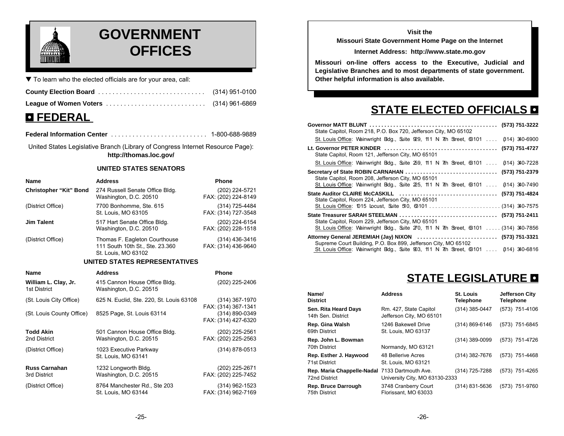

## **GOVERNMENT EXERNAL COFFICES**

 $\blacktriangledown$  To learn who the elected officials are for your area, call:

| $\blacksquare$ PPNPD AT |  |
|-------------------------|--|

## 3 **FEDERAL**

**Federal Information Center** . . . . . . . . . . . . . . . . . . . . . . . . . . . 1-800-688-9889

United States Legislative Branch (Library of Congress Internet Resource Page): **http://thomas.loc.gov/**

#### **UNITED STATES SENATORS**

| <b>Name</b>                   | <b>Address</b>                                                                          | <b>Phone</b>                          |
|-------------------------------|-----------------------------------------------------------------------------------------|---------------------------------------|
| <b>Christopher "Kit" Bond</b> | 274 Russell Senate Office Bldg.<br>Washington, D.C. 20510                               | (202) 224-5721<br>FAX: (202) 224-8149 |
| (District Office)             | 7700 Bonhomme, Ste. 615<br>St. Louis, MO 63105                                          | (314) 725-4484<br>FAX: (314) 727-3548 |
| <b>Jim Talent</b>             | 517 Hart Senate Office Bldg.<br>Washington, D.C. 20510                                  | (202) 224-6154<br>FAX: (202) 228-1518 |
| (District Office)             | Thomas F. Eagleton Courthouse<br>111 South 10th St., Ste. 23.360<br>St. Louis, MO 63102 | (314) 436-3416<br>FAX: (314) 436-9640 |

#### **UNITED STATES REPRESENTATIVES**

| <b>Name</b>                          | <b>Address</b>                                          | <b>Phone</b>                          |
|--------------------------------------|---------------------------------------------------------|---------------------------------------|
| William L. Clay, Jr.<br>1st District | 415 Cannon House Office Bldg.<br>Washington, D.C. 20515 | (202) 225-2406                        |
| (St. Louis City Office)              | 625 N. Euclid, Ste. 220, St. Louis 63108                | (314) 367-1970<br>FAX: (314) 367-1341 |
| (St. Louis County Office)            | 8525 Page, St. Louis 63114                              | (314) 890-0349<br>FAX: (314) 427-6320 |
| <b>Todd Akin</b><br>2nd District     | 501 Cannon House Office Bldg.<br>Washington, D.C. 20515 | (202) 225-2561<br>FAX: (202) 225-2563 |
| (District Office)                    | 1023 Executive Parkway<br>St. Louis, MO 63141           | $(314) 878 - 0513$                    |
| <b>Russ Carnahan</b><br>3rd District | 1232 Longworth Bldg.<br>Washington, D.C. 20515          | (202) 225-2671<br>FAX: (202) 225-7452 |
| (District Office)                    | 8764 Manchester Rd., Ste 203<br>St. Louis, MO 63144     | (314) 962-1523<br>FAX: (314) 962-7169 |

#### **Visit theMissouri State Government Home Page on the Internet**

#### **Internet Address: http://www.state.mo.gov**

**Missouri on-line offers access to the Executive, Judicial and Legislative Branches and to most departments of state government. Other helpful information is also available.**

## **STATE ELECTED OFFICIALS <b>D**

| State Capitol, Room 218, P.O. Box 720, Jefferson City, MO 65102                                                                                                                                                 |  |
|-----------------------------------------------------------------------------------------------------------------------------------------------------------------------------------------------------------------|--|
| St. Louis Office: Wainwright Bdg., Suite 929, 11. N 7th Street, 63101  614) 340-6900                                                                                                                            |  |
| State Capitol, Room 121, Jefferson City, MO 65101                                                                                                                                                               |  |
| St. Louis Office: Wainwright Bdg., Suite 259, 11.1 N 7th Street, 63101  614) 340-7228                                                                                                                           |  |
| State Capitol, Room 208, Jefferson City, MO 65101<br>St. Louis Office: Wainwright Bdg., Suite 225, 11.1 N 7th Street, 63101  614) 340-7490                                                                      |  |
| State Capitol, Room 224, Jefferson City, MO 65101                                                                                                                                                               |  |
| State Capitol, Room 229, Jefferson City, MO 65101<br>St. Louis Office: Wainwright Bdg., Suite 270, 111 N 7th Street, 63101  (314) 340-7856                                                                      |  |
| Attorney General JEREMIAH (Jay) NIXON  (573) 751-3321<br>Supreme Court Building, P.O. Box 899, Jefferson City, MO 65102<br>St. Louis Office: Wainwright Bdg., Suite 903, 111 N 7th Street, 63101  614) 340-6816 |  |

## **STATE LEGISLATURE <b>D**

| Name/<br><b>District</b>                                        | <b>Address</b>                                     | St. Louis<br><b>Telephone</b> | <b>Jefferson City</b><br><b>Telephone</b> |
|-----------------------------------------------------------------|----------------------------------------------------|-------------------------------|-------------------------------------------|
| Sen. Rita Heard Days<br>14th Sen. District                      | Rm. 427, State Capitol<br>Jefferson City, MO 65101 | (314) 385-0447                | (573) 751-4106                            |
| Rep. Gina Walsh<br>69th District                                | 1246 Bakewell Drive<br>St. Louis, MO 63137         | (314) 869-6146                | (573) 751-6845                            |
| Rep. John L. Bowman<br>70th District                            | Normandy, MO 63121                                 | (314) 389-0099                | (573) 751-4726                            |
| Rep. Esther J. Haywood<br>71st District                         | 48 Bellerive Acres<br>St. Louis, MO 63121          | (314) 382-7676                | (573) 751-4468                            |
| Rep. Maria Chappelle-Nadal 7133 Dartmouth Ave.<br>72nd District | University City, MO 63130-2333                     | (314) 725-7288                | (573) 751-4265                            |
| Rep. Bruce Darrough<br>75th District                            | 3748 Cranberry Court<br>Florissant, MO 63033       | (314) 831-5636                | (573) 751-9760                            |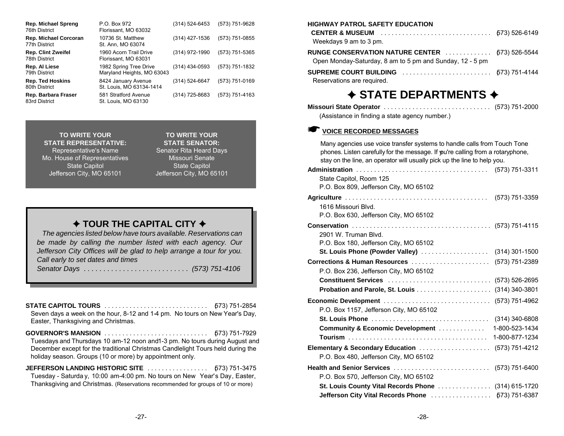| Rep. Michael Spreng<br>76th District          | P.O. Box 972<br>Florissant, MO 63032                 | (314) 524-6453 | (573) 751-9628 |
|-----------------------------------------------|------------------------------------------------------|----------------|----------------|
| <b>Rep. Michael Corcoran</b><br>77th District | 10736 St. Matthew<br>St. Ann, MO 63074               | (314) 427-1536 | (573) 751-0855 |
| <b>Rep. Clint Zweifel</b><br>78th District    | 1960 Acorn Trail Drive<br>Florissant, MO 63031       | (314) 972-1990 | (573) 751-5365 |
| Rep. Al Liese<br>79th District                | 1982 Spring Tree Drive<br>Maryland Heights, MO 63043 | (314) 434-0593 | (573) 751-1832 |
| <b>Rep. Ted Hoskins</b><br>80th District      | 8424 January Avenue<br>St. Louis, MO 63134-1414      | (314) 524-6647 | (573) 751-0169 |
| Rep. Barbara Fraser<br>83rd District          | 581 Stratford Avenue<br>St. Louis, MO 63130          | (314) 725-8683 | (573) 751-4163 |

**TO WRITE YOURSTATE REPRESENTATIVE:**Representative's Name Senator Rita Heard Days Mo. House of Representatives Missouri Senate State Capitol **State Capitol** State Capitol Jefferson City, MO 65101 Jefferson City, MO 65101

 **TO WRITE YOUR STATE SENATOR:**

### $\rightarrow$  TOUR THE CAPITAL CITY  $\rightarrow$

*The agencies listed below have tours available. Reservations can be made by calling the number listed with each agency. Our Jefferson City Offices will be glad to help arrange a tour for you. Call early to set dates and times*

*Senator Days ........................... (573) 751-4106* 

**STATE CAPITOL TOURS** ............................. (573) 751-2854 Seven days a week on the hour, 8-12 and 1-4 pm. No tours on New Year's Day,

Easter, Thanksgiving and Christmas.

- **GOVERNOR'S MANSION** ............................. (573) 751-7929 Tuesdays and Thursdays 10 am-12 noon and 1-3 pm. No tours during August and December except for the traditional Christmas Candlelight Tours held during the holiday season. Groups (10 or more) by appointment only.
- **JEFFERSON LANDING HISTORIC SITE** ................. (573) 751-3475 Tuesday - Saturda y, 10:00 am-4:00 pm. No tours on New Year's Day, Easter, Thanksgiving and Christmas. (Reservations recommended for groups of 10 or more)

### **HIGHWAY PATROL SAFETY EDUCATION CENTER & MUSEUM** ............................... (573) 526-6149 Weekdays 9 am to 3 pm. **RUNGE CONSERVATION NATURE CENTER** ............. (573) 526-5544 Open Monday-Saturday, 8 am to 5 pm and Sunday, 12 - 5 pm **SUPREME COURT BUILDING** ......................... (573) 751-4144

Reservations are required.

### $\rightarrow$  **STATE DEPARTMENTS**  $\rightarrow$

| (Assistance in finding a state agency number.) |  |
|------------------------------------------------|--|

### K **VOICE RECORDED MESSAGES**

| Many agencies use voice transfer systems to handle calls from Touch Tone<br>phones. Listen carefully for the message. If you're calling from a rotaryphone,<br>stay on the line, an operator will usually pick up the line to help you. |                |
|-----------------------------------------------------------------------------------------------------------------------------------------------------------------------------------------------------------------------------------------|----------------|
|                                                                                                                                                                                                                                         |                |
| State Capitol, Room 125                                                                                                                                                                                                                 |                |
| P.O. Box 809, Jefferson City, MO 65102                                                                                                                                                                                                  |                |
|                                                                                                                                                                                                                                         | (573) 751-3359 |
| 1616 Missouri Blvd.                                                                                                                                                                                                                     |                |
| P.O. Box 630, Jefferson City, MO 65102                                                                                                                                                                                                  |                |
|                                                                                                                                                                                                                                         |                |
| 2901 W. Truman Blvd.                                                                                                                                                                                                                    |                |
| P.O. Box 180, Jefferson City, MO 65102                                                                                                                                                                                                  |                |
|                                                                                                                                                                                                                                         |                |
| <b>Corrections &amp; Human Resources</b>                                                                                                                                                                                                | (573) 751-2389 |
| P.O. Box 236, Jefferson City, MO 65102                                                                                                                                                                                                  |                |
|                                                                                                                                                                                                                                         |                |
|                                                                                                                                                                                                                                         |                |
|                                                                                                                                                                                                                                         |                |
| P.O. Box 1157, Jefferson City, MO 65102                                                                                                                                                                                                 |                |
|                                                                                                                                                                                                                                         |                |
| Community & Economic Development                                                                                                                                                                                                        | 1-800-523-1434 |
|                                                                                                                                                                                                                                         | 1-800-877-1234 |
| Elementary & Secondary Education                                                                                                                                                                                                        | (573) 751-4212 |
| P.O. Box 480, Jefferson City, MO 65102                                                                                                                                                                                                  |                |
| Health and Senior Services                                                                                                                                                                                                              | (573) 751-6400 |
| P.O. Box 570, Jefferson City, MO 65102                                                                                                                                                                                                  |                |
| St. Louis County Vital Records Phone  (314) 615-1720                                                                                                                                                                                    |                |
| Jefferson City Vital Records Phone  [573] 751-6387                                                                                                                                                                                      |                |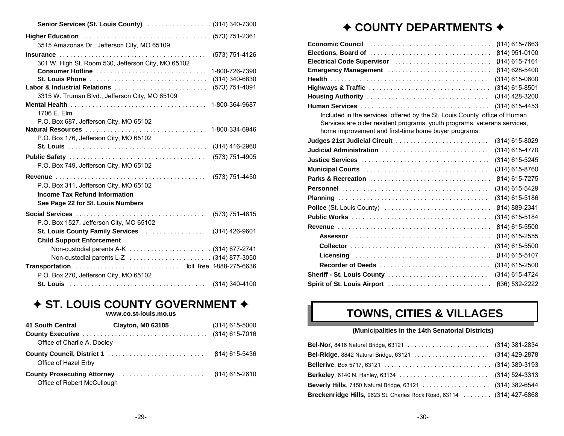| Senior Services (St. Louis County)  (314) 340-7300 |                  |
|----------------------------------------------------|------------------|
|                                                    |                  |
| 3515 Amazonas Dr., Jefferson City, MO 65109        |                  |
|                                                    | (573) 751-4126   |
| 301 W. High St. Room 530, Jefferson City, MO 65102 |                  |
| Consumer Hotline                                   | 1-800-726-7390   |
| <b>St. Louis Phone</b>                             | $(314)$ 340-6830 |
| Labor & Industrial Relations                       | (573) 751-4091   |
| 3315 W. Truman Blvd., Jefferson City, MO 65109     |                  |
|                                                    |                  |
| 1706 E. Elm                                        |                  |
| P.O. Box 687, Jefferson City, MO 65102             |                  |
|                                                    |                  |
| P.O. Box 176, Jefferson City, MO 65102             |                  |
|                                                    | $(314)$ 416-2960 |
|                                                    | (573) 751-4905   |
| P.O. Box 749, Jefferson City, MO 65102             |                  |
|                                                    | (573) 751-4450   |
| P.O. Box 311, Jefferson City, MO 65102             |                  |
| <b>Income Tax Refund Information</b>               |                  |
| See Page 22 for St. Louis Numbers                  |                  |
|                                                    | (573) 751-4815   |
| P.O. Box 1527, Jefferson City, MO 65102            |                  |
| St. Louis County Family Services (314) 426-9601    |                  |
| <b>Child Support Enforcement</b>                   |                  |
| Non-custodial parents A-K  (314) 877-2741          |                  |
|                                                    |                  |
|                                                    |                  |
| P.O. Box 270, Jefferson City, MO 65102             |                  |
|                                                    | (314) 340-4100   |

### **✦ ST. LOUIS COUNTY GOVERNMENT ✦**

**www.co.st-louis.mo.us**

| 41 South Central            | <b>Clayton, M0 63105</b> | $(314)$ 615-5000 |
|-----------------------------|--------------------------|------------------|
|                             |                          |                  |
| Office of Charlie A. Dooley |                          |                  |
| Office of Hazel Erby        |                          |                  |
| Office of Robert McCullough |                          |                  |

## ◆ COUNTY DEPARTMENTS **◆**

| Economic Council (Allegence Aller Allen Allen Aller Aller Aller Aller Aller Aller Aller Aller                                    | $(314) 615 - 7663$ |
|----------------------------------------------------------------------------------------------------------------------------------|--------------------|
|                                                                                                                                  | $(314)$ 951-0100   |
| Electrical Code Supervisor                                                                                                       | $(314) 615 - 7161$ |
| Emergency Management                                                                                                             | $(314) 628 - 5400$ |
|                                                                                                                                  | (314) 615-0600     |
|                                                                                                                                  | $(314)$ 615-8501   |
|                                                                                                                                  | $(314)$ 428-3200   |
|                                                                                                                                  | $(314)$ 615-4453   |
| Included in the services offered by the St. Louis County office of Human                                                         |                    |
| Services are older resident programs, youth programs, veterans services,<br>home improvement and first-time home buyer programs. |                    |
| Judges 21st Judicial Circuit                                                                                                     | $(314)$ 615-8029   |
| Judicial Administration                                                                                                          | (314) 615-4770     |
|                                                                                                                                  | (314) 615-5245     |
|                                                                                                                                  | (314) 615-8760     |
|                                                                                                                                  | $(314) 615 - 7275$ |
|                                                                                                                                  | (314) 615-5429     |
|                                                                                                                                  | (314) 615-5186     |
|                                                                                                                                  | 614) 889-2341      |
|                                                                                                                                  | (314) 615-5184     |
|                                                                                                                                  | 614) 615-5500      |
|                                                                                                                                  | 614) 615-2555      |
|                                                                                                                                  | (314) 615-5500     |
|                                                                                                                                  | $(314)$ 615-5107   |
| Recorder of Deeds                                                                                                                | $(314)$ 615-2500   |
| Sheriff - St. Louis County                                                                                                       | (314) 615-4724     |
| Spirit of St. Louis Airport                                                                                                      | 636) 532-2222      |

## **TOWNS, CITIES & VILLAGES**

### **(Municipalities in the 14th Senatorial Districts)**

| Breckenridge Hills, 9623 St. Charles Rock Road, 63114 (314) 427-6868 |  |
|----------------------------------------------------------------------|--|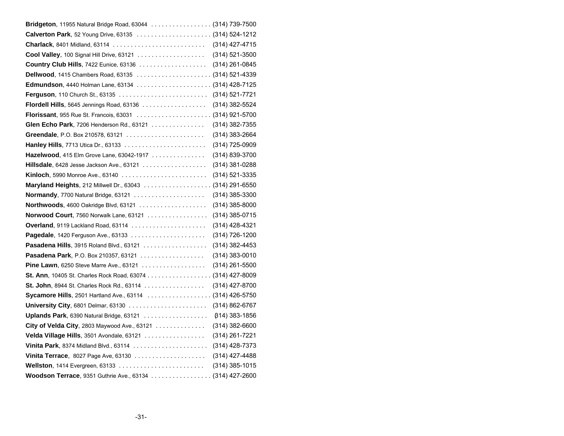| Bridgeton, 11955 Natural Bridge Road, 63044 (314) 739-7500                                        |                       |
|---------------------------------------------------------------------------------------------------|-----------------------|
|                                                                                                   |                       |
|                                                                                                   |                       |
| Cool Valley, 100 Signal Hill Drive, 63121                                                         | (314) 521-3500        |
|                                                                                                   | $(314)$ 261-0845      |
|                                                                                                   |                       |
|                                                                                                   |                       |
|                                                                                                   |                       |
| Flordell Hills, 5645 Jennings Road, 63136                                                         | (314) 382-5524        |
|                                                                                                   |                       |
| Glen Echo Park, 7206 Henderson Rd., 63121                                                         | $(314)$ 382-7355      |
|                                                                                                   | (314) 383-2664        |
|                                                                                                   | (314) 725-0909        |
| Hazelwood, 415 Elm Grove Lane, 63042-1917                                                         | (314) 839-3700        |
| <b>Hillsdale</b> , 6428 Jesse Jackson Ave., 63121 $\ldots \ldots \ldots \ldots \ldots$            | (314) 381-0288        |
|                                                                                                   | (314) 521-3335        |
|                                                                                                   |                       |
|                                                                                                   | $(314)$ 385-3300      |
|                                                                                                   | $(314)$ 385-8000      |
| <b>Norwood Court, 7560 Norwalk Lane, 63121</b>                                                    | (314) 385-0715        |
| Overland, 9119 Lackland Road, 63114                                                               | (314) 428-4321        |
|                                                                                                   | (314) 726-1200        |
|                                                                                                   | (314) 382-4453        |
|                                                                                                   | $(314)$ 383-0010      |
| <b>Pine Lawn, 6250 Steve Marre Ave., 63121</b>                                                    | $(314)$ 261-5500      |
| <b>St. Ann</b> , 10405 St. Charles Rock Road, 63074 (314) 427-8009                                |                       |
| St. John, 8944 St. Charles Rock Rd., 63114 $\ldots$                                               | $(314)$ 427-8700      |
|                                                                                                   |                       |
|                                                                                                   | (314) 862-6767        |
| Uplands Park, 6390 Natural Bridge, 63121                                                          | <b>(314) 383-1856</b> |
| City of Velda City, 2803 Maywood Ave., 63121 $\ldots$                                             | $(314)$ 382-6600      |
| Velda Village Hills, 3501 Avondale, 63121                                                         | (314) 261-7221        |
| Vinita Park, 8374 Midland Blvd., 63114                                                            | $(314)$ 428-7373      |
|                                                                                                   | (314) 427-4488        |
| <b>Wellston</b> , 1414 Evergreen, 63133 $\ldots \ldots \ldots \ldots \ldots \ldots \ldots \ldots$ | $(314)$ 385-1015      |
| Woodson Terrace, 9351 Guthrie Ave., 63134 (314) 427-2600                                          |                       |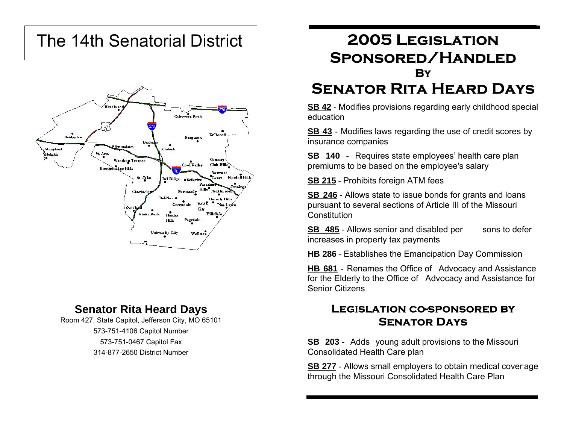# The 14th Senatorial District



### **Senator Rita Heard Days**

Room 427, State Capitol, Jefferson City, MO 65101 573-751-4106 Capitol Number 573-751-0467 Capitol Fax 314-877-2650 District Number

## **2005 Legislation Sponsored/Handled By**

## **Senator Rita Heard Days**

**SB 42** - Modifies provisions regarding early childhood special education

**SB 43** - Modifies laws regarding the use of credit scores by insurance companies

**SB 140** - Requires state employees' health care plan premiums to be based on the employee's salary

**SB 215** - Prohibits foreign ATM fees

**SB 246** - Allows state to issue bonds for grants and loans pursuant to several sections of Article III of the Missouri **Constitution** 

**SB 485** - Allows senior and disabled per sons to defer increases in property tax payments

**HB 286** - Establishes the Emancipation Day Commission

**HB 681** - Renames the Office of Advocacy and Assistance for the Elderly to the Office of Advocacy and Assistance for Senior Citizens

### **Legislation co-sponsored bySenator Days**

**SB 203** - Adds young adult provisions to the Missouri Consolidated Health Care plan

**SB 277** - Allows small employers to obtain medical cover age through the Missouri Consolidated Health Care Plan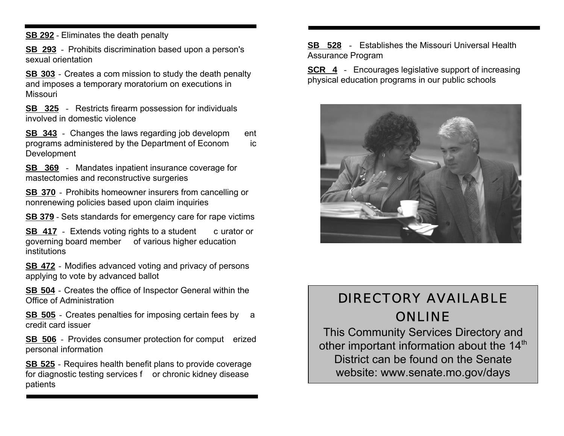**SB 292** - Eliminates the death penalty

**SB 293** - Prohibits discrimination based upon a person's sexual orientation

**SB 303** - Creates a com mission to study the death penalty and imposes a temporary moratorium on executions in Missouri

**SB 325** - Restricts firearm possession for individuals involved in domestic violence

**SB 343** - Changes the laws regarding job developm ent programs administered by the Department of Econom ic Development

**SB 369** - Mandates inpatient insurance coverage for mastectomies and reconstructive surgeries

**SB 370** - Prohibits homeowner insurers from cancelling or nonrenewing policies based upon claim inquiries

**SB 379** - Sets standards for emergency care for rape victims

**SB 417** - Extends voting rights to a student c urator or governing board member of various higher education institutions

**SB 472** - Modifies advanced voting and privacy of persons applying to vote by advanced ballot

**SB 504** - Creates the office of Inspector General within the Office of Administration

**SB 505** - Creates penalties for imposing certain fees by a credit card issuer

**SB 506** - Provides consumer protection for comput erized personal information

**SB 525** - Requires health benefit plans to provide coverage for diagnostic testing services f or chronic kidney disease patients

**SB 528** - Establishes the Missouri Universal HealthAssurance Program

**SCR 4** - Encourages legislative support of increasing physical education programs in our public schools



## DIRECTORY AVAILABLEONLINE

This Community Services Directory and other important information about the 14<sup>th</sup> District can be found on the Senatewebsite: www.senate.mo.gov/days